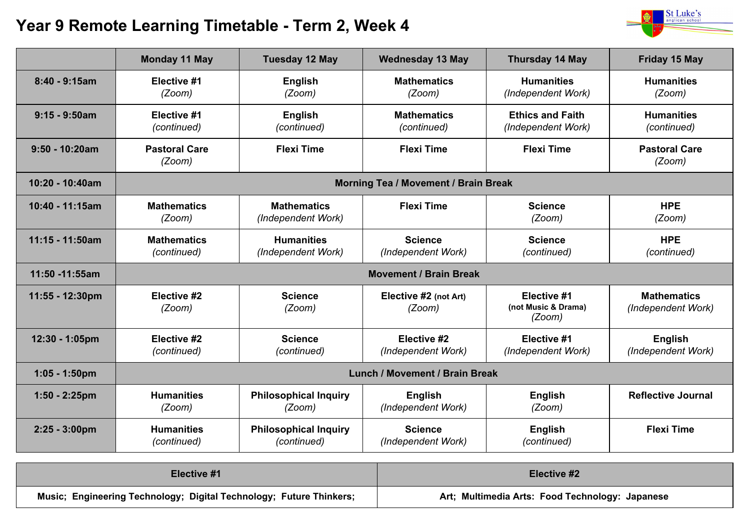## **Year 9 Remote Learning Timetable - Term 2, Week 4**



|                         | <b>Monday 11 May</b>                  | <b>Tuesday 12 May</b>                       | <b>Wednesday 13 May</b>              | <b>Thursday 14 May</b>                        | <b>Friday 15 May</b>                     |
|-------------------------|---------------------------------------|---------------------------------------------|--------------------------------------|-----------------------------------------------|------------------------------------------|
| $8:40 - 9:15am$         | Elective #1<br>(Zoom)                 | <b>English</b><br>(Zoom)                    | <b>Mathematics</b><br>(Zoom)         | <b>Humanities</b><br>(Independent Work)       | <b>Humanities</b><br>(Zoom)              |
| $9:15 - 9:50am$         | Elective #1<br>(continued)            | <b>English</b><br>(continued)               | <b>Mathematics</b><br>(continued)    | <b>Ethics and Faith</b><br>(Independent Work) | <b>Humanities</b><br>(continued)         |
| $9:50 - 10:20am$        | <b>Pastoral Care</b><br>(Zoom)        | <b>Flexi Time</b>                           | <b>Flexi Time</b>                    | <b>Flexi Time</b>                             | <b>Pastoral Care</b><br>(Zoom)           |
| 10:20 - 10:40am         | Morning Tea / Movement / Brain Break  |                                             |                                      |                                               |                                          |
| 10:40 - 11:15am         | <b>Mathematics</b><br>(Zoom)          | <b>Mathematics</b><br>(Independent Work)    | <b>Flexi Time</b>                    | <b>Science</b><br>(Zoom)                      | <b>HPE</b><br>(Zoom)                     |
| 11:15 - 11:50am         | <b>Mathematics</b><br>(continued)     | <b>Humanities</b><br>(Independent Work)     | <b>Science</b><br>(Independent Work) | <b>Science</b><br>(continued)                 | <b>HPE</b><br>(continued)                |
| 11:50 -11:55am          | <b>Movement / Brain Break</b>         |                                             |                                      |                                               |                                          |
| 11:55 - 12:30pm         | Elective #2<br>(Zoom)                 | <b>Science</b><br>(Zoom)                    | Elective #2 (not Art)<br>(Zoom)      | Elective #1<br>(not Music & Drama)<br>(Zoom)  | <b>Mathematics</b><br>(Independent Work) |
| 12:30 - 1:05pm          | Elective #2<br>(continued)            | <b>Science</b><br>(continued)               | Elective #2<br>(Independent Work)    | Elective #1<br>(Independent Work)             | <b>English</b><br>(Independent Work)     |
| $1:05 - 1:50$ pm        | <b>Lunch / Movement / Brain Break</b> |                                             |                                      |                                               |                                          |
| $1:50 - 2:25$ pm        | <b>Humanities</b><br>(Zoom)           | <b>Philosophical Inquiry</b><br>(Zoom)      | <b>English</b><br>(Independent Work) | <b>English</b><br>(Zoom)                      | <b>Reflective Journal</b>                |
| $2:25 - 3:00 \text{pm}$ | <b>Humanities</b><br>(continued)      | <b>Philosophical Inquiry</b><br>(continued) | <b>Science</b><br>(Independent Work) | <b>English</b><br>(continued)                 | <b>Flexi Time</b>                        |

| Elective #1                                                         | Elective #2                                     |  |
|---------------------------------------------------------------------|-------------------------------------------------|--|
| Music; Engineering Technology; Digital Technology; Future Thinkers; | Art; Multimedia Arts: Food Technology: Japanese |  |